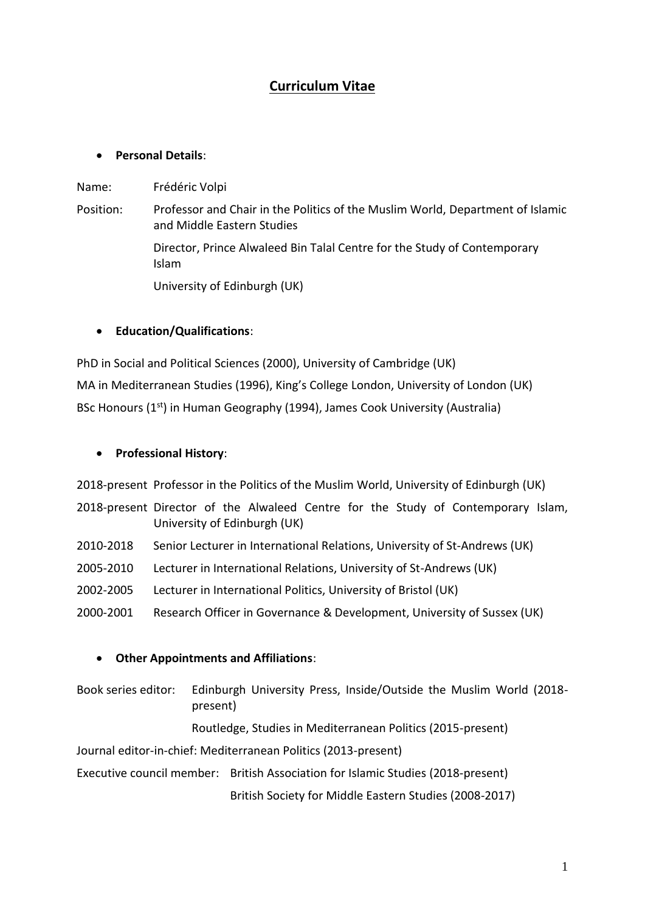# **Curriculum Vitae**

## • **Personal Details**:

Name: Frédéric Volpi

Position: Professor and Chair in the Politics of the Muslim World, Department of Islamic and Middle Eastern Studies Director, Prince Alwaleed Bin Talal Centre for the Study of Contemporary Islam University of Edinburgh (UK)

## • **Education/Qualifications**:

PhD in Social and Political Sciences (2000), University of Cambridge (UK) MA in Mediterranean Studies (1996), King's College London, University of London (UK) BSc Honours (1<sup>st</sup>) in Human Geography (1994), James Cook University (Australia)

### • **Professional History**:

2018-present Professor in the Politics of the Muslim World, University of Edinburgh (UK)

- 2018-present Director of the Alwaleed Centre for the Study of Contemporary Islam, University of Edinburgh (UK)
- 2010-2018 Senior Lecturer in International Relations, University of St-Andrews (UK)
- 2005-2010 Lecturer in International Relations, University of St-Andrews (UK)
- 2002-2005 Lecturer in International Politics, University of Bristol (UK)
- 2000-2001 Research Officer in Governance & Development, University of Sussex (UK)

## • **Other Appointments and Affiliations**:

Book series editor: Edinburgh University Press, Inside/Outside the Muslim World (2018 present)

#### Routledge, Studies in Mediterranean Politics (2015-present)

Journal editor-in-chief: Mediterranean Politics (2013-present)

Executive council member: British Association for Islamic Studies (2018-present)

British Society for Middle Eastern Studies (2008-2017)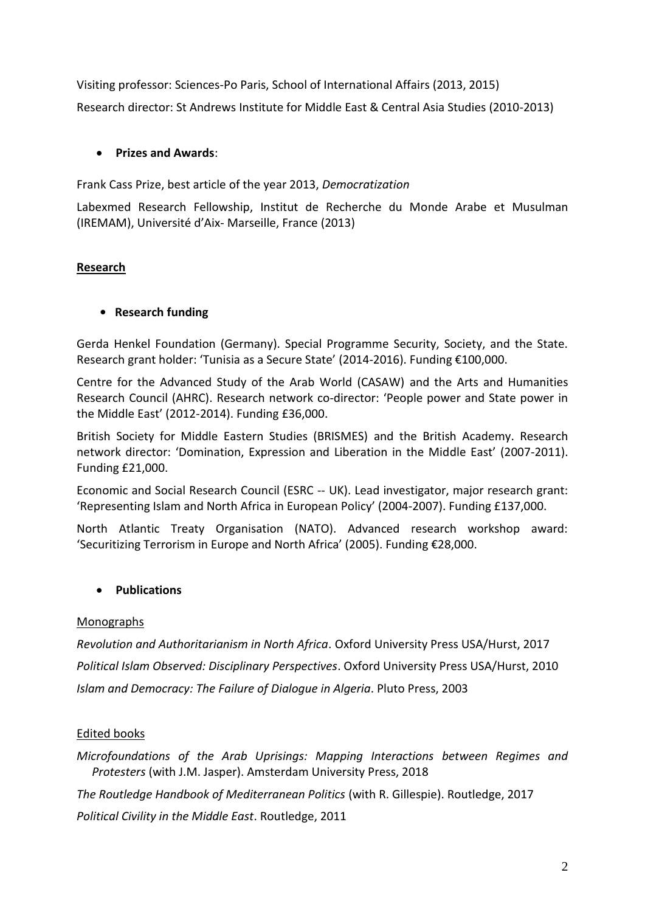Visiting professor: Sciences-Po Paris, School of International Affairs (2013, 2015) Research director: St Andrews Institute for Middle East & Central Asia Studies (2010-2013)

# • **Prizes and Awards**:

Frank Cass Prize, best article of the year 2013, *Democratization*

Labexmed Research Fellowship, Institut de Recherche du Monde Arabe et Musulman (IREMAM), Université d'Aix- Marseille, France (2013)

# **Research**

# **• Research funding**

Gerda Henkel Foundation (Germany). Special Programme Security, Society, and the State. Research grant holder: 'Tunisia as a Secure State' (2014-2016). Funding €100,000.

Centre for the Advanced Study of the Arab World (CASAW) and the Arts and Humanities Research Council (AHRC). Research network co-director: 'People power and State power in the Middle East' (2012-2014). Funding £36,000.

British Society for Middle Eastern Studies (BRISMES) and the British Academy. Research network director: 'Domination, Expression and Liberation in the Middle East' (2007-2011). Funding £21,000.

Economic and Social Research Council (ESRC -- UK). Lead investigator, major research grant: 'Representing Islam and North Africa in European Policy' (2004-2007). Funding £137,000.

North Atlantic Treaty Organisation (NATO). Advanced research workshop award: 'Securitizing Terrorism in Europe and North Africa' (2005). Funding €28,000.

# • **Publications**

## Monographs

*Revolution and Authoritarianism in North Africa*. Oxford University Press USA/Hurst, 2017 *Political Islam Observed: Disciplinary Perspectives*. Oxford University Press USA/Hurst, 2010 *Islam and Democracy: The Failure of Dialogue in Algeria*. Pluto Press, 2003

## Edited books

*Microfoundations of the Arab Uprisings: Mapping Interactions between Regimes and Protesters* (with J.M. Jasper). Amsterdam University Press, 2018

*The Routledge Handbook of Mediterranean Politics* (with R. Gillespie). Routledge, 2017

*Political Civility in the Middle East*. Routledge, 2011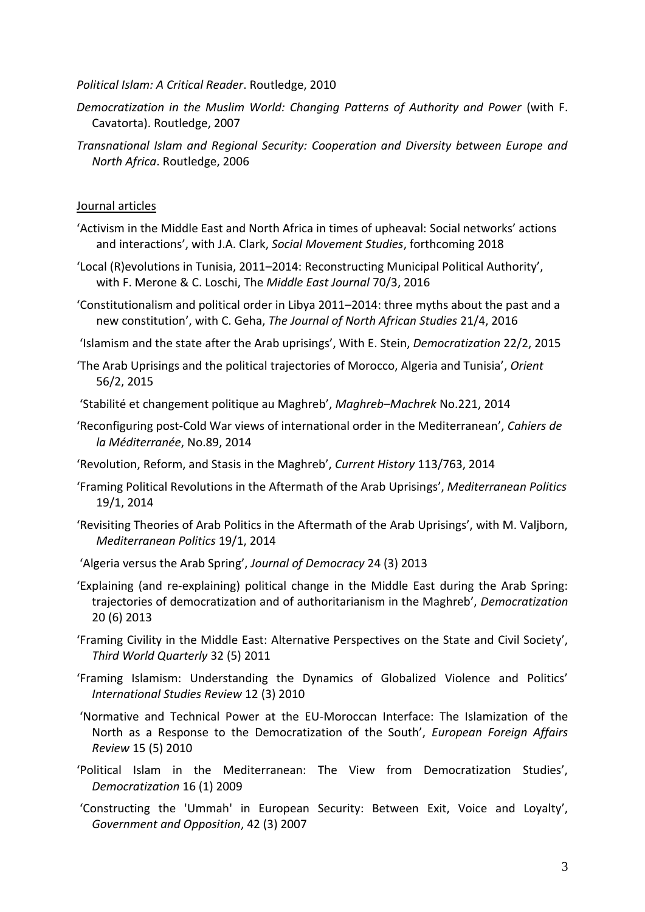#### *Political Islam: A Critical Reader*. Routledge, 2010

- *Democratization in the Muslim World: Changing Patterns of Authority and Power (with F.* Cavatorta). Routledge, 2007
- *Transnational Islam and Regional Security: Cooperation and Diversity between Europe and North Africa*. Routledge, 2006

#### Journal articles

- 'Activism in the Middle East and North Africa in times of upheaval: Social networks' actions and interactions', with J.A. Clark, *Social Movement Studies*, forthcoming 2018
- 'Local (R)evolutions in Tunisia, 2011–2014: Reconstructing Municipal Political Authority', with F. Merone & C. Loschi, The *Middle East Journal* 70/3, 2016
- 'Constitutionalism and political order in Libya 2011–2014: three myths about the past and a new constitution', with C. Geha, *The Journal of North African Studies* 21/4, 2016
- 'Islamism and the state after the Arab uprisings', With E. Stein, *Democratization* 22/2, 2015
- 'The Arab Uprisings and the political trajectories of Morocco, Algeria and Tunisia', *Orient* 56/2, 2015
- 'Stabilité et changement politique au Maghreb', *Maghreb–Machrek* No.221, 2014
- 'Reconfiguring post-Cold War views of international order in the Mediterranean', *Cahiers de la Méditerranée*, No.89, 2014
- 'Revolution, Reform, and Stasis in the Maghreb', *Current History* 113/763, 2014
- 'Framing Political Revolutions in the Aftermath of the Arab Uprisings', *Mediterranean Politics* 19/1, 2014
- 'Revisiting Theories of Arab Politics in the Aftermath of the Arab Uprisings', with M. Valjborn, *Mediterranean Politics* 19/1, 2014
- 'Algeria versus the Arab Spring', *Journal of Democracy* 24 (3) 2013
- 'Explaining (and re-explaining) political change in the Middle East during the Arab Spring: trajectories of democratization and of authoritarianism in the Maghreb', *Democratization* 20 (6) 2013
- 'Framing Civility in the Middle East: Alternative Perspectives on the State and Civil Society', *Third World Quarterly* 32 (5) 2011
- 'Framing Islamism: Understanding the Dynamics of Globalized Violence and Politics' *International Studies Review* 12 (3) 2010
- 'Normative and Technical Power at the EU-Moroccan Interface: The Islamization of the North as a Response to the Democratization of the South', *European Foreign Affairs Review* 15 (5) 2010
- 'Political Islam in the Mediterranean: The View from Democratization Studies', *Democratization* 16 (1) 2009
- 'Constructing the 'Ummah' in European Security: Between Exit, Voice and Loyalty', *Government and Opposition*, 42 (3) 2007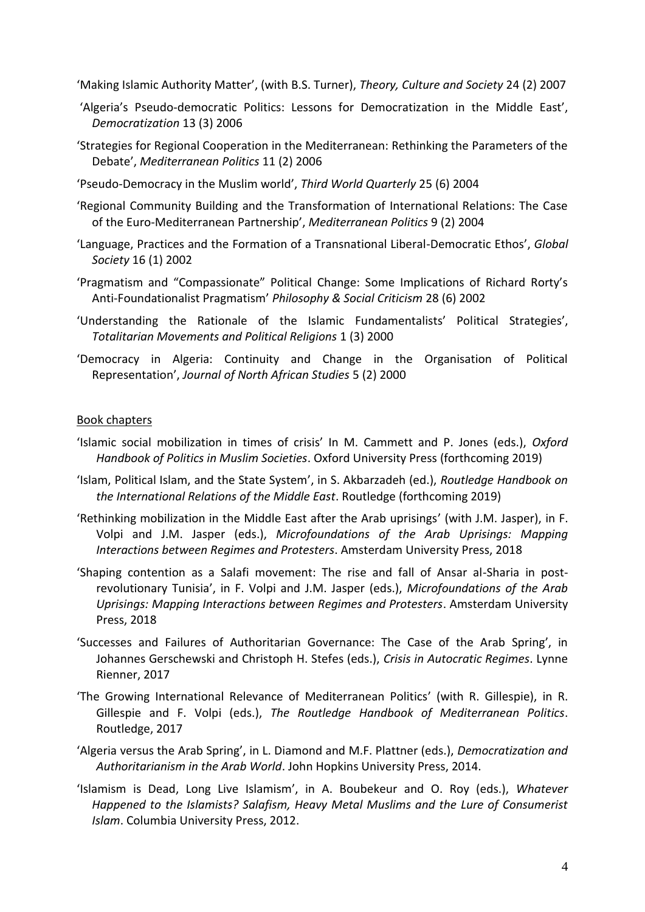'Making Islamic Authority Matter', (with B.S. Turner), *Theory, Culture and Society* 24 (2) 2007

- 'Algeria's Pseudo-democratic Politics: Lessons for Democratization in the Middle East', *Democratization* 13 (3) 2006
- 'Strategies for Regional Cooperation in the Mediterranean: Rethinking the Parameters of the Debate', *Mediterranean Politics* 11 (2) 2006
- 'Pseudo-Democracy in the Muslim world', *Third World Quarterly* 25 (6) 2004
- 'Regional Community Building and the Transformation of International Relations: The Case of the Euro-Mediterranean Partnership', *Mediterranean Politics* 9 (2) 2004
- 'Language, Practices and the Formation of a Transnational Liberal-Democratic Ethos', *Global Society* 16 (1) 2002
- 'Pragmatism and "Compassionate" Political Change: Some Implications of Richard Rorty's Anti-Foundationalist Pragmatism' *Philosophy & Social Criticism* 28 (6) 2002
- 'Understanding the Rationale of the Islamic Fundamentalists' Political Strategies', *Totalitarian Movements and Political Religions* 1 (3) 2000
- 'Democracy in Algeria: Continuity and Change in the Organisation of Political Representation', *Journal of North African Studies* 5 (2) 2000

#### Book chapters

- 'Islamic social mobilization in times of crisis' In M. Cammett and P. Jones (eds.), *Oxford Handbook of Politics in Muslim Societies*. Oxford University Press (forthcoming 2019)
- 'Islam, Political Islam, and the State System', in S. Akbarzadeh (ed.), *Routledge Handbook on the International Relations of the Middle East*. Routledge (forthcoming 2019)
- 'Rethinking mobilization in the Middle East after the Arab uprisings' (with J.M. Jasper), in F. Volpi and J.M. Jasper (eds.), *Microfoundations of the Arab Uprisings: Mapping Interactions between Regimes and Protesters*. Amsterdam University Press, 2018
- 'Shaping contention as a Salafi movement: The rise and fall of Ansar al-Sharia in postrevolutionary Tunisia', in F. Volpi and J.M. Jasper (eds.), *Microfoundations of the Arab Uprisings: Mapping Interactions between Regimes and Protesters*. Amsterdam University Press, 2018
- 'Successes and Failures of Authoritarian Governance: The Case of the Arab Spring', in Johannes Gerschewski and Christoph H. Stefes (eds.), *Crisis in Autocratic Regimes*. Lynne Rienner, 2017
- 'The Growing International Relevance of Mediterranean Politics' (with R. Gillespie), in R. Gillespie and F. Volpi (eds.), *The Routledge Handbook of Mediterranean Politics*. Routledge, 2017
- 'Algeria versus the Arab Spring', in L. Diamond and M.F. Plattner (eds.), *Democratization and Authoritarianism in the Arab World*. John Hopkins University Press, 2014.
- 'Islamism is Dead, Long Live Islamism', in A. Boubekeur and O. Roy (eds.), *Whatever Happened to the Islamists? Salafism, Heavy Metal Muslims and the Lure of Consumerist Islam*. Columbia University Press, 2012.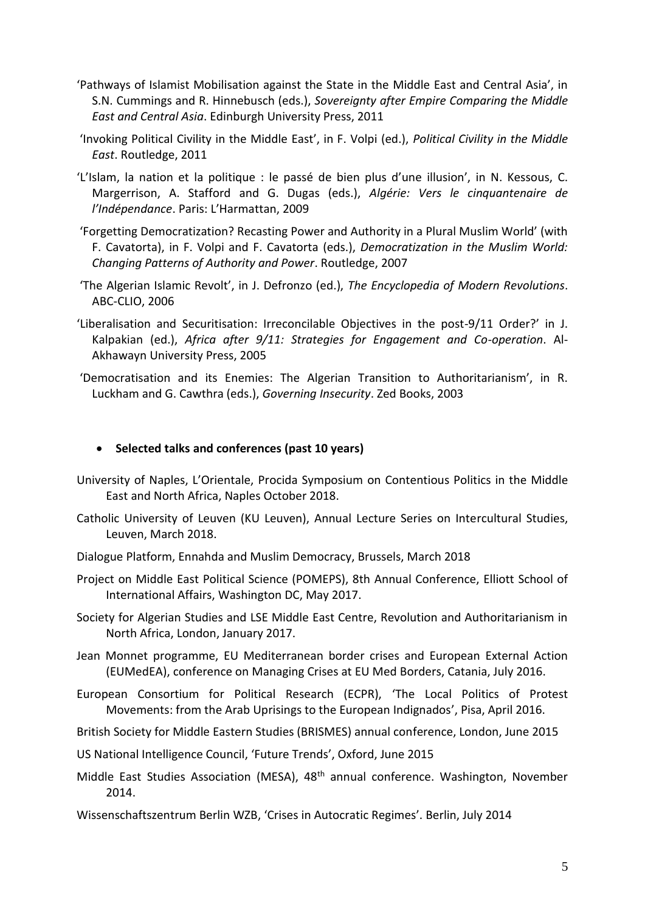- 'Pathways of Islamist Mobilisation against the State in the Middle East and Central Asia', in S.N. Cummings and R. Hinnebusch (eds.), *Sovereignty after Empire Comparing the Middle East and Central Asia*. Edinburgh University Press, 2011
- 'Invoking Political Civility in the Middle East', in F. Volpi (ed.), *Political Civility in the Middle East*. Routledge, 2011
- 'L'Islam, la nation et la politique : le passé de bien plus d'une illusion', in N. Kessous, C. Margerrison, A. Stafford and G. Dugas (eds.), *Algérie: Vers le cinquantenaire de l'Indépendance*. Paris: L'Harmattan, 2009
- 'Forgetting Democratization? Recasting Power and Authority in a Plural Muslim World' (with F. Cavatorta), in F. Volpi and F. Cavatorta (eds.), *Democratization in the Muslim World: Changing Patterns of Authority and Power*. Routledge, 2007
- 'The Algerian Islamic Revolt', in J. Defronzo (ed.), *The Encyclopedia of Modern Revolutions*. ABC-CLIO, 2006
- 'Liberalisation and Securitisation: Irreconcilable Objectives in the post-9/11 Order?' in J. Kalpakian (ed.), *Africa after 9/11: Strategies for Engagement and Co-operation*. Al-Akhawayn University Press, 2005
- 'Democratisation and its Enemies: The Algerian Transition to Authoritarianism', in R. Luckham and G. Cawthra (eds.), *Governing Insecurity*. Zed Books, 2003

### • **Selected talks and conferences (past 10 years)**

- University of Naples, L'Orientale, Procida Symposium on Contentious Politics in the Middle East and North Africa, Naples October 2018.
- Catholic University of Leuven (KU Leuven), Annual Lecture Series on Intercultural Studies, Leuven, March 2018.
- Dialogue Platform, Ennahda and Muslim Democracy, Brussels, March 2018
- Project on Middle East Political Science (POMEPS), 8th Annual Conference, Elliott School of International Affairs, Washington DC, May 2017.
- Society for Algerian Studies and LSE Middle East Centre, Revolution and Authoritarianism in North Africa, London, January 2017.
- Jean Monnet programme, EU Mediterranean border crises and European External Action (EUMedEA), conference on Managing Crises at EU Med Borders, Catania, July 2016.
- European Consortium for Political Research (ECPR), 'The Local Politics of Protest Movements: from the Arab Uprisings to the European Indignados', Pisa, April 2016.
- British Society for Middle Eastern Studies (BRISMES) annual conference, London, June 2015
- US National Intelligence Council, 'Future Trends', Oxford, June 2015
- Middle East Studies Association (MESA), 48th annual conference. Washington, November 2014.
- Wissenschaftszentrum Berlin WZB, 'Crises in Autocratic Regimes'. Berlin, July 2014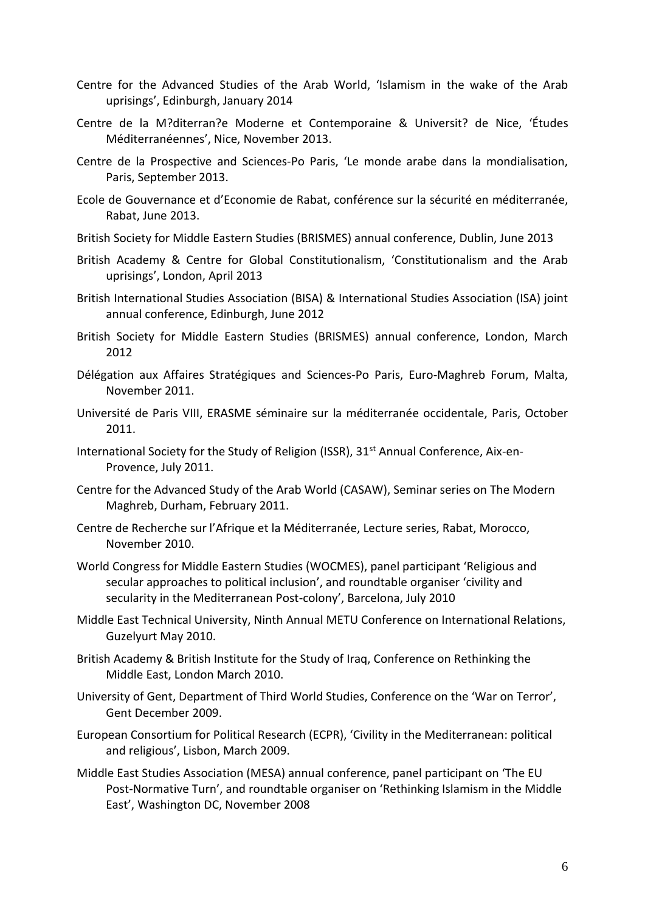- Centre for the Advanced Studies of the Arab World, 'Islamism in the wake of the Arab uprisings', Edinburgh, January 2014
- Centre de la M?diterran?e Moderne et Contemporaine & Universit? de Nice, 'Études Méditerranéennes', Nice, November 2013.
- Centre de la Prospective and Sciences-Po Paris, 'Le monde arabe dans la mondialisation, Paris, September 2013.
- Ecole de Gouvernance et d'Economie de Rabat, conférence sur la sécurité en méditerranée, Rabat, June 2013.
- British Society for Middle Eastern Studies (BRISMES) annual conference, Dublin, June 2013
- British Academy & Centre for Global Constitutionalism, 'Constitutionalism and the Arab uprisings', London, April 2013
- British International Studies Association (BISA) & International Studies Association (ISA) joint annual conference, Edinburgh, June 2012
- British Society for Middle Eastern Studies (BRISMES) annual conference, London, March 2012
- Délégation aux Affaires Stratégiques and Sciences-Po Paris, Euro-Maghreb Forum, Malta, November 2011.
- Université de Paris VIII, ERASME séminaire sur la méditerranée occidentale, Paris, October 2011.
- International Society for the Study of Religion (ISSR), 31<sup>st</sup> Annual Conference, Aix-en-Provence, July 2011.
- Centre for the Advanced Study of the Arab World (CASAW), Seminar series on The Modern Maghreb, Durham, February 2011.
- Centre de Recherche sur l'Afrique et la Méditerranée, Lecture series, Rabat, Morocco, November 2010.
- World Congress for Middle Eastern Studies (WOCMES), panel participant 'Religious and secular approaches to political inclusion', and roundtable organiser 'civility and secularity in the Mediterranean Post-colony', Barcelona, July 2010
- Middle East Technical University, Ninth Annual METU Conference on International Relations, Guzelyurt May 2010.
- British Academy & British Institute for the Study of Iraq, Conference on Rethinking the Middle East, London March 2010.
- University of Gent, Department of Third World Studies, Conference on the 'War on Terror', Gent December 2009.
- European Consortium for Political Research (ECPR), 'Civility in the Mediterranean: political and religious', Lisbon, March 2009.
- Middle East Studies Association (MESA) annual conference, panel participant on 'The EU Post-Normative Turn', and roundtable organiser on 'Rethinking Islamism in the Middle East', Washington DC, November 2008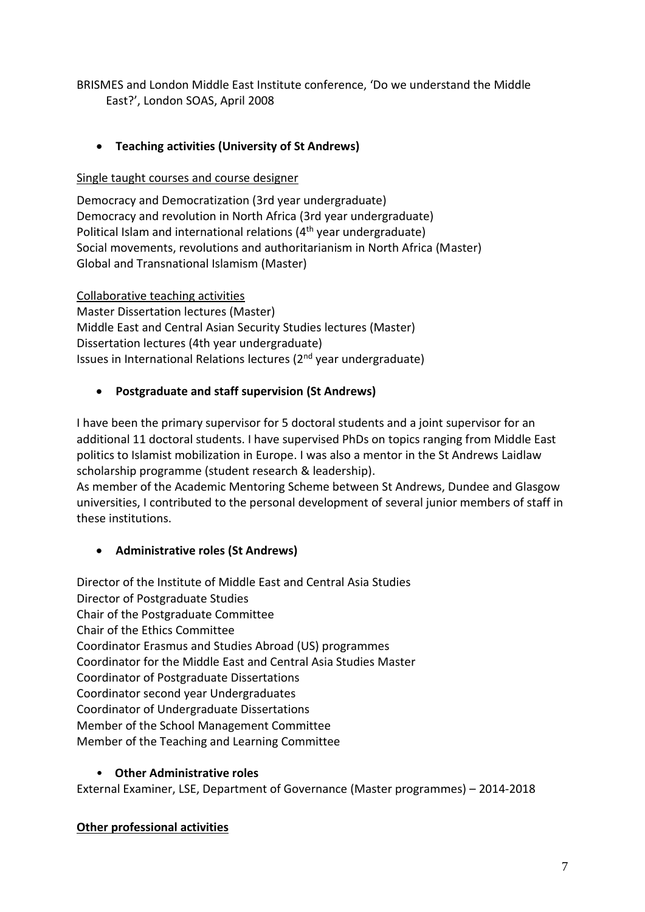BRISMES and London Middle East Institute conference, 'Do we understand the Middle East?', London SOAS, April 2008

# • **Teaching activities (University of St Andrews)**

# Single taught courses and course designer

Democracy and Democratization (3rd year undergraduate) Democracy and revolution in North Africa (3rd year undergraduate) Political Islam and international relations (4<sup>th</sup> year undergraduate) Social movements, revolutions and authoritarianism in North Africa (Master) Global and Transnational Islamism (Master)

### Collaborative teaching activities

Master Dissertation lectures (Master) Middle East and Central Asian Security Studies lectures (Master) Dissertation lectures (4th year undergraduate) Issues in International Relations lectures (2nd year undergraduate)

## • **Postgraduate and staff supervision (St Andrews)**

I have been the primary supervisor for 5 doctoral students and a joint supervisor for an additional 11 doctoral students. I have supervised PhDs on topics ranging from Middle East politics to Islamist mobilization in Europe. I was also a mentor in the St Andrews Laidlaw scholarship programme (student research & leadership).

As member of the Academic Mentoring Scheme between St Andrews, Dundee and Glasgow universities, I contributed to the personal development of several junior members of staff in these institutions.

# • **Administrative roles (St Andrews)**

Director of the Institute of Middle East and Central Asia Studies Director of Postgraduate Studies Chair of the Postgraduate Committee Chair of the Ethics Committee Coordinator Erasmus and Studies Abroad (US) programmes Coordinator for the Middle East and Central Asia Studies Master Coordinator of Postgraduate Dissertations Coordinator second year Undergraduates Coordinator of Undergraduate Dissertations Member of the School Management Committee Member of the Teaching and Learning Committee

## • **Other Administrative roles**

External Examiner, LSE, Department of Governance (Master programmes) – 2014-2018

## **Other professional activities**